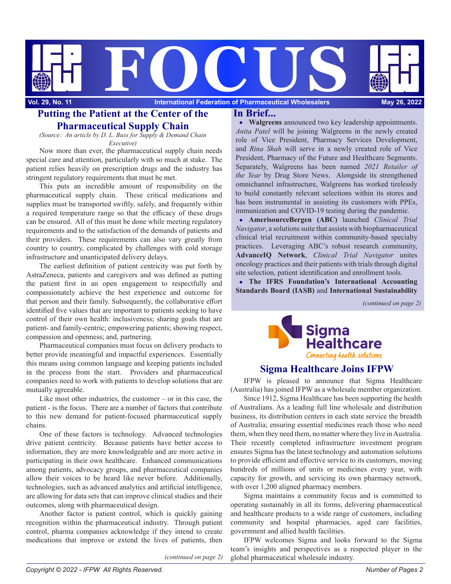

# Putting the Patient at the Center of the In Brief... **Pharmaceutical Supply Chain**

*(Source: An article by D. L. Buss for Supply & Demand Chain Executive)*

Now more than ever, the pharmaceutical supply chain needs special care and attention, particularly with so much at stake. The patient relies heavily on prescription drugs and the industry has stringent regulatory requirements that must be met.

This puts an incredible amount of responsibility on the pharmaceutical supply chain. These critical medications and supplies must be transported swiftly, safely, and frequently within a required temperature range so that the efficacy of these drugs can be ensured. All of this must be done while meeting regulatory requirements and to the satisfaction of the demands of patients and their providers. These requirements can also vary greatly from country to country, complicated by challenges with cold storage infrastructure and unanticipated delivery delays.

The earliest definition of patient centricity was put forth by AstraZeneca, patients and caregivers and was defined as putting the patient first in an open engagement to respectfully and compassionately achieve the best experience and outcome for that person and their family. Subsequently, the collaborative effort identified five values that are important to patients seeking to have control of their own health: inclusiveness; sharing goals that are patient- and family-centric; empowering patients; showing respect, compassion and openness; and, partnering.

Pharmaceutical companies must focus on delivery products to better provide meaningful and impactful experiences. Essentially this means using common language and keeping patients included in the process from the start. Providers and pharmaceutical companies need to work with patients to develop solutions that are mutually agreeable.

Like most other industries, the customer – or in this case, the patient - is the focus. There are a number of factors that contribute to this new demand for patient-focused pharmaceutical supply chains.

One of these factors is technology. Advanced technologies drive patient centricity. Because patients have better access to information, they are more knowledgeable and are more active in participating in their own healthcare. Enhanced communications among patients, advocacy groups, and pharmaceutical companies allow their voices to be heard like never before. Additionally, technologies, such as advanced analytics and artificial intelligence, are allowing for data sets that can improve clinical studies and their outcomes, along with pharmaceutical design.

Another factor is patient control, which is quickly gaining recognition within the pharmaceutical industry. Through patient control, pharma companies acknowledge if they intend to create medications that improve or extend the lives of patients, then

**Walgreens** announced two key leadership appointments. *Anita Patel* will be joining Walgreens in the newly created role of Vice President, Pharmacy Services Development, and *Rina Shah* will serve in a newly created role of Vice President, Pharmacy of the Future and Healthcare Segments. Separately, Walgreens has been named *2021 Retailer of the Year* by Drug Store News. Alongside its strengthened omnichannel infrastructure, Walgreens has worked tirelessly to build constantly relevant selections within its stores and has been instrumental in assisting its customers with PPEs, immunization and COVID-19 testing during the pandemic.

**AmerisourceBergen (ABC)** launched *Clinical Trial Navigator*, a solutions suite that assists with biopharmaceutical clinical trial recruitment within community-based specialty practices. Leveraging ABC's robust research community, **AdvanceIQ Network**, *Clinical Trial Navigator* unites oncology practices and their patients with trials through digital site selection, patient identification and enrollment tools.

**The IFRS Foundation's International Accounting Standards Board (IASB)** and **International Sustainability** 

*(continued on page 2)*



## **Sigma Healthcare Joins IFPW**

IFPW is pleased to announce that Sigma Healthcare (Australia) has joined IFPW as a wholesale member organization.

Since 1912, Sigma Healthcare has been supporting the health of Australians. As a leading full line wholesale and distribution business, its distribution centers in each state service the breadth of Australia; ensuring essential medicines reach those who need them, when they need them, no matter where they live in Australia. Their recently completed infrastructure investment program ensures Sigma has the latest technology and automation solutions to provide efficient and effective service to its customers, moving hundreds of millions of units or medicines every year, with capacity for growth, and servicing its own pharmacy network, with over 1,200 aligned pharmacy members.

Sigma maintains a community focus and is committed to operating sustainably in all its forms, delivering pharmaceutical and healthcare products to a wide range of customers, including community and hospital pharmacies, aged care facilities, government and allied health facilities.

IFPW welcomes Sigma and looks forward to the Sigma team's insights and perspectives as a respected player in the global pharmaceutical wholesale industry.